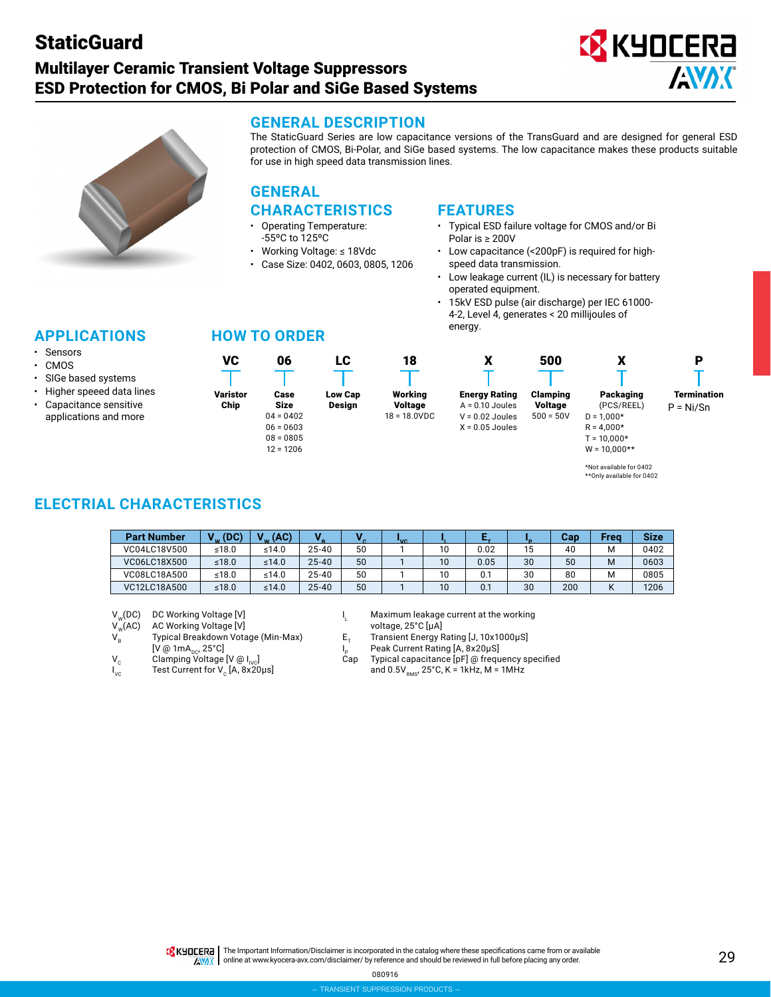# **StaticGuard**

# Multilayer Ceramic Transient Voltage Suppressors ESD Protection for CMOS, Bi Polar and SiGe Based Systems





**GENERAL DESCRIPTION**

The StaticGuard Series are low capacitance versions of the TransGuard and are designed for general ESD protection of CMOS, Bi-Polar, and SiGe based systems. The low capacitance makes these products suitable for use in high speed data transmission lines.

## **GENERAL CHARACTERISTICS**

- Operating Temperature: -55ºC to 125ºC
- Working Voltage: ≤ 18Vdc
- Case Size: 0402, 0603, 0805, 1206

## **FEATURES**

- Typical ESD failure voltage for CMOS and/or Bi Polar is ≥ 200V
- Low capacitance (<200pF) is required for highspeed data transmission.
- Low leakage current (IL) is necessary for battery operated equipment.
- 15kV ESD pulse (air discharge) per IEC 61000- 4-2, Level 4, generates < 20 millijoules of energy.

500

| <b>APPLICATIONS</b> |  |  |
|---------------------|--|--|
|                     |  |  |

- **Sensors**
- CMOS
- SIGe based systems • Higher speeed data lines
- Capacitance sensitive applications and more

## **HOW TO ORDER**





X

Clamping Voltage  $500 = 50V$ Packaging (PCS/REEL)  $D = 1,000*$  $R = 4,000*$ 



P

 $T = 10,000*$  $W = 10,000**$ 

X

## **ELECTRIAL CHARACTERISTICS**

| <b>Part Number</b> | (DC)  | (AC)<br>141 |           |    | "vo |    |      |    | Can | Frea | <b>Size</b> |
|--------------------|-------|-------------|-----------|----|-----|----|------|----|-----|------|-------------|
| VC04LC18V500       | ≤18.0 | ≤14.0       | $25 - 40$ | 50 |     | 10 | 0.02 | 15 | 40  | м    | 0402        |
| VC06LC18X500       | ≤18.0 | ≤14.0       | $25 - 40$ | 50 |     | 10 | 0.05 | 30 | 50  | M    | 0603        |
| VC08LC18A500       | ≤18.0 | ≤14.0       | $25 - 40$ | 50 |     | 10 |      | 30 | 80  | M    | 0805        |
| VC12LC18A500       | ≤18.0 | ≤14.0       | $25 - 40$ | 50 |     | 10 | 0.1  | 30 | 200 |      | 1206        |

 $V_w(DC)$  DC Working Voltage [V]  $V_w(AC)$  AC Working Voltage [V]  $1_L$ 

 $V_{w}^{\mathsf{W}}(AC)$  AC Working Voltage [V]<br>  $V_{R}$  Typical Breakdown Votage (Min-Max)  $E_{T}$  $[V @ 1mA<sub>DC</sub>, 25°C]$ <br>Clamping Voltage [V @ I<sub>Ivc</sub>] Cap

- 
- $I_{\rm vc}$

Maximum leakage current at the working<br>voltage, 25°C [µA]

Transient Energy Rating [J, 10x1000μS]

- Peak Current Rating [A, 8x20μS]
- $V_c$  Clamping Voltage [V @ I<sub>IVC</sub>] Cap Typical capacitance [pF] @ frequency specified<br>  $V_c$  Test Current for V<sub>c</sub> [A, 8x20µs] and 0.5V<sub>pMs</sub>, 25°C, K = 1kHz, M = 1MHz and  $0.5V<sub>RMS</sub>$ , 25°C, K = 1kHz, M = 1MHz

<sup>\*</sup>Not available for 0402 \*\*Only available for 0402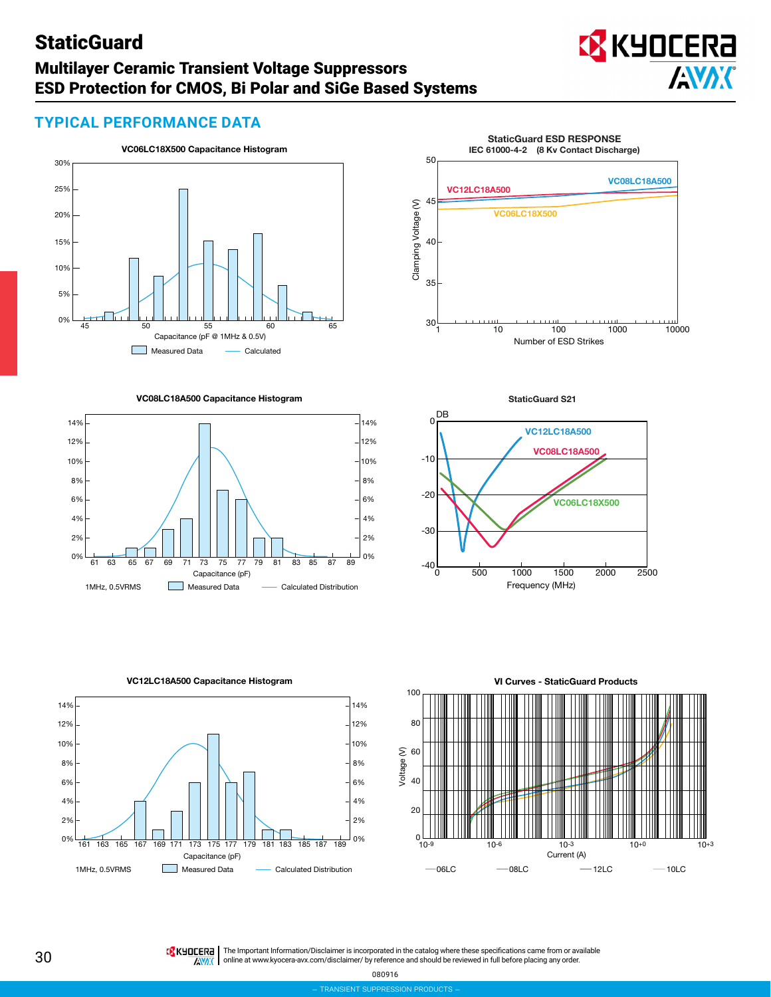# **StaticGuard**

## Multilayer Ceramic Transient Voltage Suppressors ESD Protection for CMOS, Bi Polar and SiGe Based Systems



## **TYPICAL PERFORMANCE DATA**



**VC08LC18A500 Capacitance Histogram**



**StaticGuard ESD RESPONSE IEC 61000-4-2 (8 Kv Contact Discharge)** 50 **VC08LC18A500 VC12LC18A500** 45 Clamping Voltage (V) Clamping Voltage (V) **VC06LC18X500** 40 35  $30\frac{1}{1}$  10  $100$  1000 10000 Number of ESD Strikes





**VC12LC18A500 Capacitance Histogram**



**TRANSIENT SU** 

**TA KHOCERE** | The Important Information/Disclaimer is incorporated in the catalog where these specifications came from or available online at [www.kyocera-avx.com/disclaimer/](http://www.kyocera-avx.com/disclaimer/) by reference and should be reviewed in full before placing any order.**ANAK** 

080916